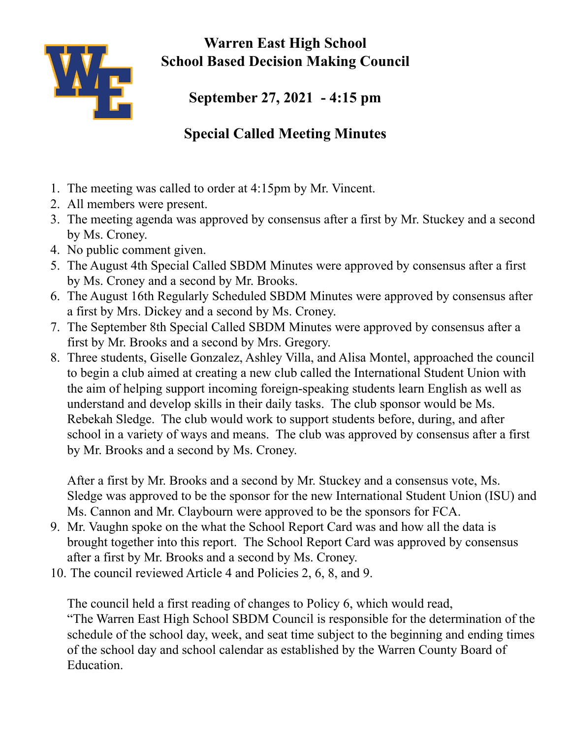

**Warren East High School School Based Decision Making Council**

**September 27, 2021 - 4:15 pm**

## **Special Called Meeting Minutes**

- 1. The meeting was called to order at 4:15pm by Mr. Vincent.
- 2. All members were present.
- 3. The meeting agenda was approved by consensus after a first by Mr. Stuckey and a second by Ms. Croney.
- 4. No public comment given.
- 5. The August 4th Special Called SBDM Minutes were approved by consensus after a first by Ms. Croney and a second by Mr. Brooks.
- 6. The August 16th Regularly Scheduled SBDM Minutes were approved by consensus after a first by Mrs. Dickey and a second by Ms. Croney.
- 7. The September 8th Special Called SBDM Minutes were approved by consensus after a first by Mr. Brooks and a second by Mrs. Gregory.
- 8. Three students, Giselle Gonzalez, Ashley Villa, and Alisa Montel, approached the council to begin a club aimed at creating a new club called the International Student Union with the aim of helping support incoming foreign-speaking students learn English as well as understand and develop skills in their daily tasks. The club sponsor would be Ms. Rebekah Sledge. The club would work to support students before, during, and after school in a variety of ways and means. The club was approved by consensus after a first by Mr. Brooks and a second by Ms. Croney.

After a first by Mr. Brooks and a second by Mr. Stuckey and a consensus vote, Ms. Sledge was approved to be the sponsor for the new International Student Union (ISU) and Ms. Cannon and Mr. Claybourn were approved to be the sponsors for FCA.

- 9. Mr. Vaughn spoke on the what the School Report Card was and how all the data is brought together into this report. The School Report Card was approved by consensus after a first by Mr. Brooks and a second by Ms. Croney.
- 10. The council reviewed Article 4 and Policies 2, 6, 8, and 9.

The council held a first reading of changes to Policy 6, which would read, "The Warren East High School SBDM Council is responsible for the determination of the schedule of the school day, week, and seat time subject to the beginning and ending times of the school day and school calendar as established by the Warren County Board of Education.